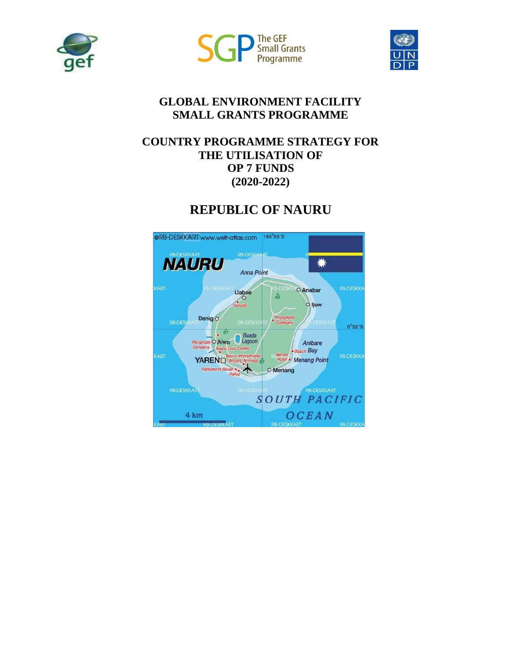





### **GLOBAL ENVIRONMENT FACILITY SMALL GRANTS PROGRAMME**

### **COUNTRY PROGRAMME STRATEGY FOR THE UTILISATION OF OP 7 FUNDS (2020-2022)**

#### @RB-DESKKART www.welt-atlas.com 166°55'E **RB-DESKKART NAURU** ☀ Anna Point **CART RB-DESKKA** O Anabar Uaboe  $\hat{A}$  $\sqrt{2}$ O ljuw Denig<sup>O</sup> Phospha **RB-DESK**  $0^{\circ}32^{\circ}5$  $\frac{1}{2}$  67  $rac{67}{\text{sphere}}$  O Aiwo D Lagoon Anibare mpany **Beach Bay**  $\begin{array}{c}$  Naur **ART RB-DESKKA** Hotel . Menang Point YAREN<sub>D</sub> Parliament House O Menang RB-DESKKART **RB-DESKKART SOUTH PACIFIC** OCEAN 4 km **RB-DESKKART RB-DESKI**

# **REPUBLIC OF NAURU**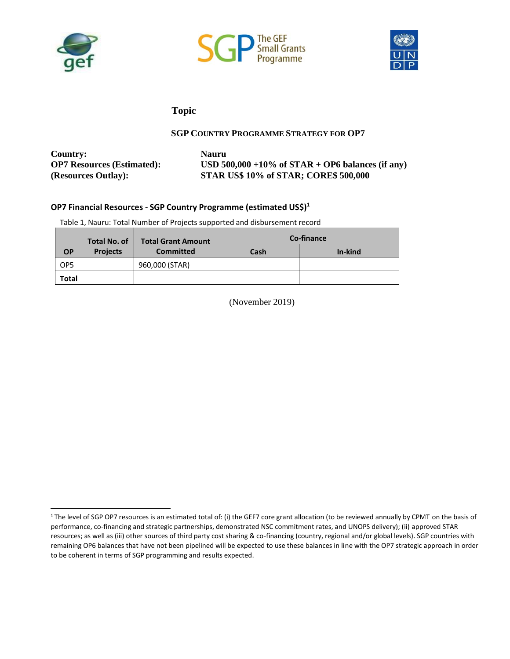





#### **Topic**

#### **SGP COUNTRY PROGRAMME STRATEGY FOR OP7**

<span id="page-1-1"></span>**Country: Nauru**

**OP7 Resources (Estimated): USD 500,000 +10% of STAR + OP6 balances (if any) (Resources Outlay): STAR US\$ 10% of STAR; CORE\$ 500,000**

#### **OP7 Financial Resources - SGP Country Programme (estimated US\$[\)](#page-1-0)<sup>1</sup>**

Table 1, Nauru: Total Number of Projects supported and disbursement record

|                 | <b>Total No. of</b> | <b>Total Grant Amount</b> |      | Co-finance |  |
|-----------------|---------------------|---------------------------|------|------------|--|
| <b>OP</b>       | <b>Projects</b>     | <b>Committed</b>          | Cash | In-kind    |  |
| OP <sub>5</sub> |                     | 960,000 (STAR)            |      |            |  |
| Total           |                     |                           |      |            |  |

(November 2019)

<span id="page-1-0"></span><sup>&</sup>lt;sup>1</sup>The level of SGP OP7 resources is an estimated total of: (i) the GEF7 core grant allocation (to be reviewed annually by CPMT on the basis of performance, co-financing and strategic partnerships, demonstrated NSC commitment rates, and UNOPS delivery); (ii) approved STAR resources; as well as (iii) other sources of third party cost sharing & co-financing (country, regional and/or global levels). SGP countries with remaining OP6 balances that have not been pipelined will be expected to use these balances in line with the OP7 strategic approach in order to be coherent in terms of SGP programming and results expected.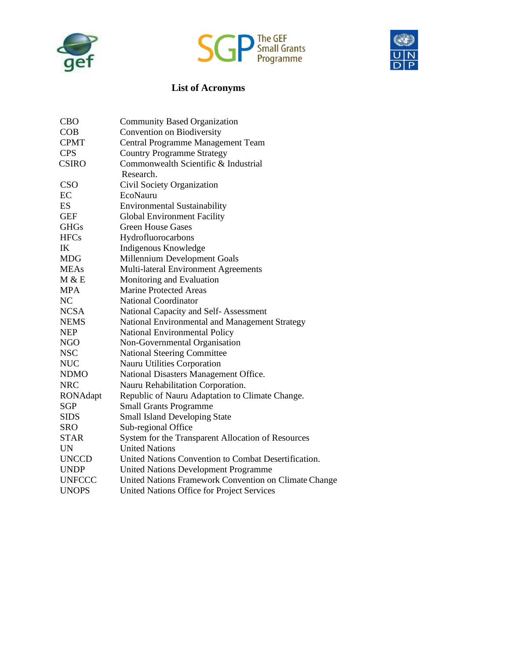



### **List of Acronyms**

<span id="page-2-0"></span>

| <b>CBO</b>    | <b>Community Based Organization</b>                   |
|---------------|-------------------------------------------------------|
| COB           | Convention on Biodiversity                            |
| <b>CPMT</b>   | Central Programme Management Team                     |
| <b>CPS</b>    | <b>Country Programme Strategy</b>                     |
| <b>CSIRO</b>  | Commonwealth Scientific & Industrial                  |
|               | Research.                                             |
| <b>CSO</b>    | Civil Society Organization                            |
| EC            | EcoNauru                                              |
| ES            | <b>Environmental Sustainability</b>                   |
| <b>GEF</b>    | <b>Global Environment Facility</b>                    |
| <b>GHGs</b>   | <b>Green House Gases</b>                              |
| <b>HFCs</b>   | Hydrofluorocarbons                                    |
| IK            | Indigenous Knowledge                                  |
| <b>MDG</b>    | Millennium Development Goals                          |
| <b>MEAs</b>   | Multi-lateral Environment Agreements                  |
| M & E         | Monitoring and Evaluation                             |
| <b>MPA</b>    | <b>Marine Protected Areas</b>                         |
| NC            | <b>National Coordinator</b>                           |
| <b>NCSA</b>   | National Capacity and Self-Assessment                 |
| <b>NEMS</b>   | National Environmental and Management Strategy        |
| <b>NEP</b>    | <b>National Environmental Policy</b>                  |
| <b>NGO</b>    | Non-Governmental Organisation                         |
| <b>NSC</b>    | <b>National Steering Committee</b>                    |
| <b>NUC</b>    | Nauru Utilities Corporation                           |
| <b>NDMO</b>   | National Disasters Management Office.                 |
| <b>NRC</b>    | Nauru Rehabilitation Corporation.                     |
| RONAdapt      | Republic of Nauru Adaptation to Climate Change.       |
| <b>SGP</b>    | <b>Small Grants Programme</b>                         |
| <b>SIDS</b>   | <b>Small Island Developing State</b>                  |
| SRO           | Sub-regional Office                                   |
| <b>STAR</b>   | System for the Transparent Allocation of Resources    |
| UN            | <b>United Nations</b>                                 |
| <b>UNCCD</b>  | United Nations Convention to Combat Desertification.  |
| <b>UNDP</b>   | <b>United Nations Development Programme</b>           |
| <b>UNFCCC</b> | United Nations Framework Convention on Climate Change |
| <b>UNOPS</b>  | United Nations Office for Project Services            |
|               |                                                       |

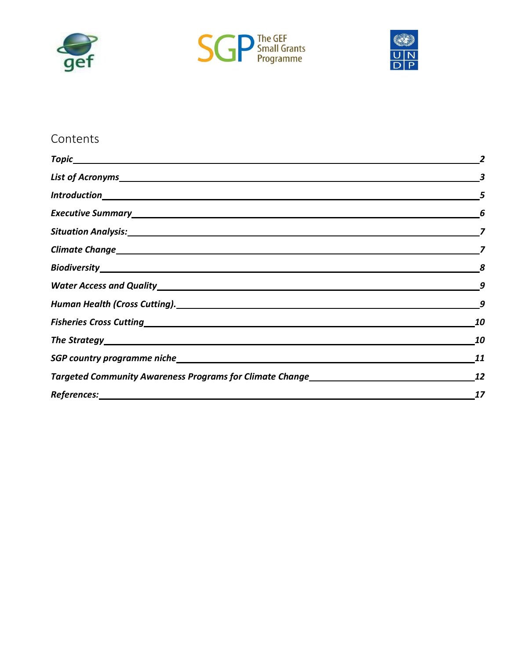





## Contents

|                                                                                  | 10 |
|----------------------------------------------------------------------------------|----|
|                                                                                  | 11 |
| Targeted Community Awareness Programs for Climate Change________________________ | 12 |
|                                                                                  | 17 |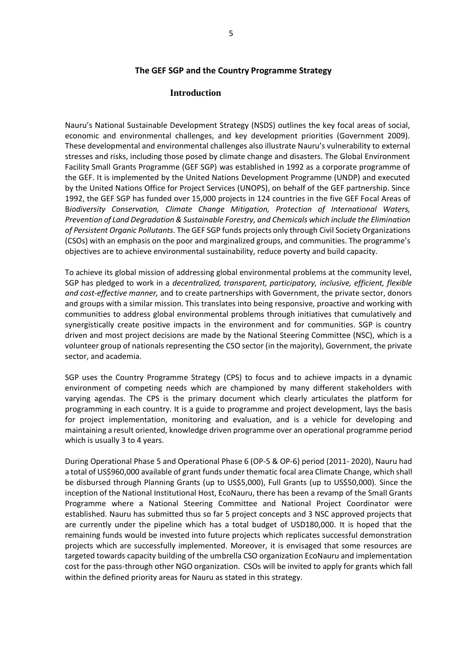#### **The GEF SGP and the Country Programme Strategy**

#### **Introduction**

<span id="page-4-0"></span>Nauru's National Sustainable Development Strategy (NSDS) outlines the key focal areas of social, economic and environmental challenges, and key development priorities (Government 2009). These developmental and environmental challenges also illustrate Nauru's vulnerability to external stresses and risks, including those posed by climate change and disasters. The Global Environment Facility Small Grants Programme (GEF SGP) was established in 1992 as a corporate programme of the GEF. It is implemented by the United Nations Development Programme (UNDP) and executed by the United Nations Office for Project Services (UNOPS), on behalf of the GEF partnership. Since 1992, the GEF SGP has funded over 15,000 projects in 124 countries in the five GEF Focal Areas of B*iodiversity Conservation, Climate Change Mitigation, Protection of International Waters, Prevention of Land Degradation & Sustainable Forestry, and Chemicals which include the Elimination of Persistent Organic Pollutants*. The GEF SGP funds projects only through Civil Society Organizations (CSOs) with an emphasis on the poor and marginalized groups, and communities. The programme's objectives are to achieve environmental sustainability, reduce poverty and build capacity.

To achieve its global mission of addressing global environmental problems at the community level, SGP has pledged to work in a *decentralized, transparent, participatory, inclusive, efficient, flexible and cost-effective manner,* and to create partnerships with Government, the private sector, donors and groups with a similar mission. This translates into being responsive, proactive and working with communities to address global environmental problems through initiatives that cumulatively and synergistically create positive impacts in the environment and for communities. SGP is country driven and most project decisions are made by the National Steering Committee (NSC), which is a volunteer group of nationals representing the CSO sector (in the majority), Government, the private sector, and academia.

SGP uses the Country Programme Strategy (CPS) to focus and to achieve impacts in a dynamic environment of competing needs which are championed by many different stakeholders with varying agendas. The CPS is the primary document which clearly articulates the platform for programming in each country. It is a guide to programme and project development, lays the basis for project implementation, monitoring and evaluation, and is a vehicle for developing and maintaining a result oriented, knowledge driven programme over an operational programme period which is usually 3 to 4 years.

During Operational Phase 5 and Operational Phase 6 (OP-5 & OP-6) period (2011- 2020), Nauru had a total of US\$960,000 available of grant funds under thematic focal area Climate Change, which shall be disbursed through Planning Grants (up to US\$5,000), Full Grants (up to US\$50,000). Since the inception of the National Institutional Host, EcoNauru, there has been a revamp of the Small Grants Programme where a National Steering Committee and National Project Coordinator were established. Nauru has submitted thus so far 5 project concepts and 3 NSC approved projects that are currently under the pipeline which has a total budget of USD180,000. It is hoped that the remaining funds would be invested into future projects which replicates successful demonstration projects which are successfully implemented. Moreover, it is envisaged that some resources are targeted towards capacity building of the umbrella CSO organization EcoNauru and implementation cost for the pass-through other NGO organization. CSOs will be invited to apply for grants which fall within the defined priority areas for Nauru as stated in this strategy.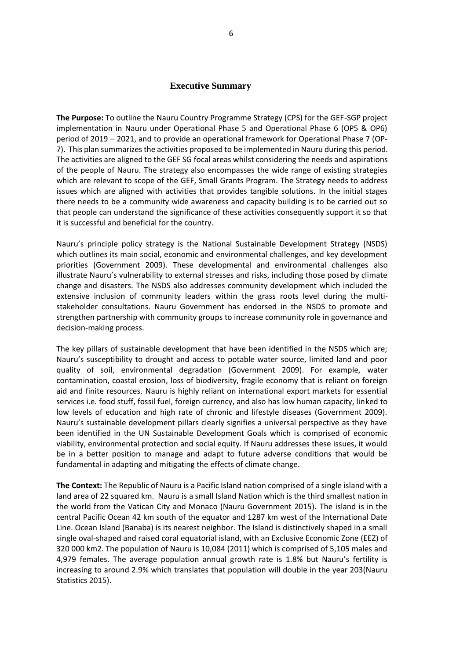#### **Executive Summary**

<span id="page-5-0"></span>**The Purpose:** To outline the Nauru Country Programme Strategy (CPS) for the GEF-SGP project implementation in Nauru under Operational Phase 5 and Operational Phase 6 (OP5 & OP6) period of 2019 – 2021, and to provide an operational framework for Operational Phase 7 (OP-7). This plan summarizes the activities proposed to be implemented in Nauru during this period. The activities are aligned to the GEF SG focal areas whilst considering the needs and aspirations of the people of Nauru. The strategy also encompasses the wide range of existing strategies which are relevant to scope of the GEF, Small Grants Program. The Strategy needs to address issues which are aligned with activities that provides tangible solutions. In the initial stages there needs to be a community wide awareness and capacity building is to be carried out so that people can understand the significance of these activities consequently support it so that it is successful and beneficial for the country.

Nauru's principle policy strategy is the National Sustainable Development Strategy (NSDS) which outlines its main social, economic and environmental challenges, and key development priorities (Government 2009). These developmental and environmental challenges also illustrate Nauru's vulnerability to external stresses and risks, including those posed by climate change and disasters. The NSDS also addresses community development which included the extensive inclusion of community leaders within the grass roots level during the multistakeholder consultations. Nauru Government has endorsed in the NSDS to promote and strengthen partnership with community groups to increase community role in governance and decision-making process.

The key pillars of sustainable development that have been identified in the NSDS which are; Nauru's susceptibility to drought and access to potable water source, limited land and poor quality of soil, environmental degradation (Government 2009). For example, water contamination, coastal erosion, loss of biodiversity, fragile economy that is reliant on foreign aid and finite resources. Nauru is highly reliant on international export markets for essential services i.e. food stuff, fossil fuel, foreign currency, and also has low human capacity, linked to low levels of education and high rate of chronic and lifestyle diseases (Government 2009). Nauru's sustainable development pillars clearly signifies a universal perspective as they have been identified in the UN Sustainable Development Goals which is comprised of economic viability, environmental protection and social equity. If Nauru addresses these issues, it would be in a better position to manage and adapt to future adverse conditions that would be fundamental in adapting and mitigating the effects of climate change.

**The Context:** The Republic of Nauru is a Pacific Island nation comprised of a single island with a land area of 22 squared km. Nauru is a small Island Nation which is the third smallest nation in the world from the Vatican City and Monaco (Nauru Government 2015). The island is in the central Pacific Ocean 42 km south of the equator and 1287 km west of the International Date Line. Ocean Island (Banaba) is its nearest neighbor. The Island is distinctively shaped in a small single oval-shaped and raised coral equatorial island, with an Exclusive Economic Zone (EEZ) of 320 000 km2. The population of Nauru is 10,084 (2011) which is comprised of 5,105 males and 4,979 females. The average population annual growth rate is 1.8% but Nauru's fertility is increasing to around 2.9% which translates that population will double in the year 203(Nauru Statistics 2015).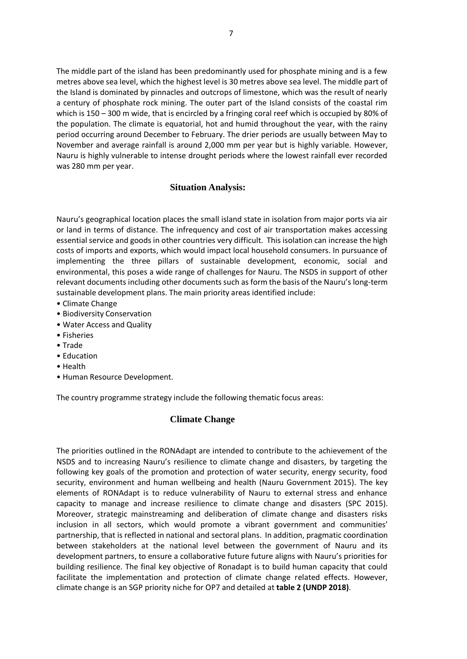The middle part of the island has been predominantly used for phosphate mining and is a few metres above sea level, which the highest level is 30 metres above sea level. The middle part of the Island is dominated by pinnacles and outcrops of limestone, which was the result of nearly a century of phosphate rock mining. The outer part of the Island consists of the coastal rim which is 150 – 300 m wide, that is encircled by a fringing coral reef which is occupied by 80% of the population. The climate is equatorial, hot and humid throughout the year, with the rainy period occurring around December to February. The drier periods are usually between May to November and average rainfall is around 2,000 mm per year but is highly variable. However, Nauru is highly vulnerable to intense drought periods where the lowest rainfall ever recorded was 280 mm per year.

#### **Situation Analysis:**

<span id="page-6-0"></span>Nauru's geographical location places the small island state in isolation from major ports via air or land in terms of distance. The infrequency and cost of air transportation makes accessing essential service and goods in other countries very difficult. This isolation can increase the high costs of imports and exports, which would impact local household consumers. In pursuance of implementing the three pillars of sustainable development, economic, social and environmental, this poses a wide range of challenges for Nauru. The NSDS in support of other relevant documents including other documentssuch as form the basis of the Nauru's long-term sustainable development plans. The main priority areas identified include:

- Climate Change
- Biodiversity Conservation
- Water Access and Quality
- Fisheries
- Trade
- Education
- Health
- <span id="page-6-1"></span>• Human Resource Development.

The country programme strategy include the following thematic focus areas:

#### **Climate Change**

The priorities outlined in the RONAdapt are intended to contribute to the achievement of the NSDS and to increasing Nauru's resilience to climate change and disasters, by targeting the following key goals of the promotion and protection of water security, energy security, food security, environment and human wellbeing and health (Nauru Government 2015). The key elements of RONAdapt is to reduce vulnerability of Nauru to external stress and enhance capacity to manage and increase resilience to climate change and disasters (SPC 2015). Moreover, strategic mainstreaming and deliberation of climate change and disasters risks inclusion in all sectors, which would promote a vibrant government and communities' partnership, that is reflected in national and sectoral plans. In addition, pragmatic coordination between stakeholders at the national level between the government of Nauru and its development partners, to ensure a collaborative future future aligns with Nauru's priorities for building resilience. The final key objective of Ronadapt is to build human capacity that could facilitate the implementation and protection of climate change related effects. However, climate change is an SGP priority niche for OP7 and detailed at **table 2 (UNDP 2018)**.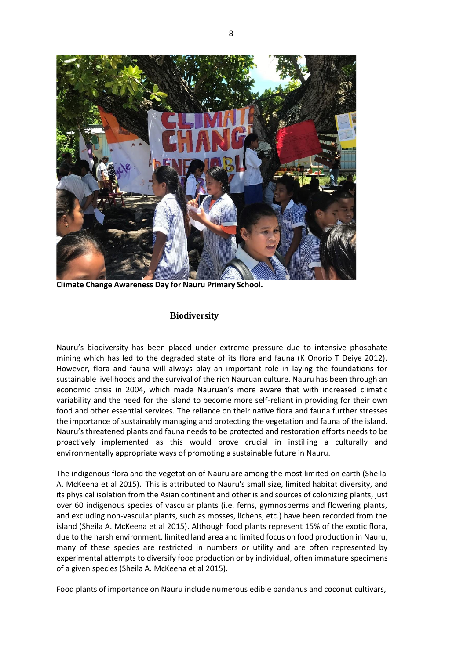

<span id="page-7-0"></span>**Climate Change Awareness Day for Nauru Primary School.**

#### **Biodiversity**

Nauru's biodiversity has been placed under extreme pressure due to intensive phosphate mining which has led to the degraded state of its flora and fauna (K Onorio T Deiye 2012). However, flora and fauna will always play an important role in laying the foundations for sustainable livelihoods and the survival of the rich Nauruan culture. Nauru has been through an economic crisis in 2004, which made Nauruan's more aware that with increased climatic variability and the need for the island to become more self-reliant in providing for their own food and other essential services. The reliance on their native flora and fauna further stresses the importance of sustainably managing and protecting the vegetation and fauna of the island. Nauru's threatened plants and fauna needs to be protected and restoration efforts needs to be proactively implemented as this would prove crucial in instilling a culturally and environmentally appropriate ways of promoting a sustainable future in Nauru.

The indigenous flora and the vegetation of Nauru are among the most limited on earth (Sheila A. McKeena et al 2015). This is attributed to Nauru's small size, limited habitat diversity, and its physical isolation from the Asian continent and other island sources of colonizing plants, just over 60 indigenous species of vascular plants (i.e. ferns, gymnosperms and flowering plants, and excluding non-vascular plants, such as mosses, lichens, etc.) have been recorded from the island (Sheila A. McKeena et al 2015). Although food plants represent 15% of the exotic flora, due to the harsh environment, limited land area and limited focus on food production in Nauru, many of these species are restricted in numbers or utility and are often represented by experimental attempts to diversify food production or by individual, often immature specimens of a given species (Sheila A. McKeena et al 2015).

Food plants of importance on Nauru include numerous edible pandanus and coconut cultivars,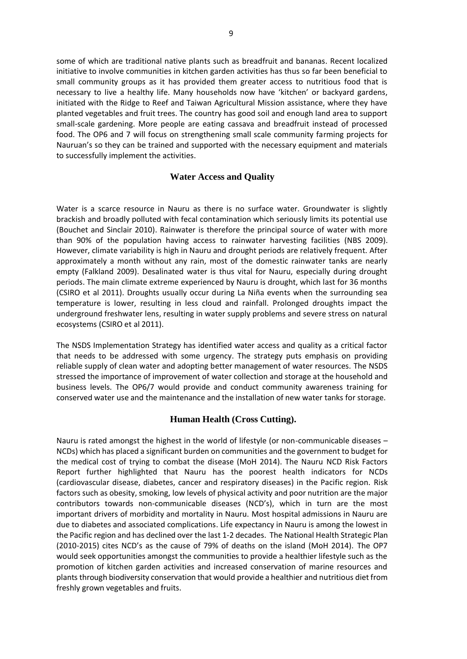some of which are traditional native plants such as breadfruit and bananas. Recent localized initiative to involve communities in kitchen garden activities has thus so far been beneficial to small community groups as it has provided them greater access to nutritious food that is necessary to live a healthy life. Many households now have 'kitchen' or backyard gardens, initiated with the Ridge to Reef and Taiwan Agricultural Mission assistance, where they have planted vegetables and fruit trees. The country has good soil and enough land area to support small-scale gardening. More people are eating cassava and breadfruit instead of processed food. The OP6 and 7 will focus on strengthening small scale community farming projects for Nauruan's so they can be trained and supported with the necessary equipment and materials to successfully implement the activities.

### **Water Access and Quality**

<span id="page-8-0"></span>Water is a scarce resource in Nauru as there is no surface water. Groundwater is slightly brackish and broadly polluted with fecal contamination which seriously limits its potential use (Bouchet and Sinclair 2010). Rainwater is therefore the principal source of water with more than 90% of the population having access to rainwater harvesting facilities (NBS 2009). However, climate variability is high in Nauru and drought periods are relatively frequent. After approximately a month without any rain, most of the domestic rainwater tanks are nearly empty (Falkland 2009). Desalinated water is thus vital for Nauru, especially during drought periods. The main climate extreme experienced by Nauru is drought, which last for 36 months (CSIRO et al 2011). Droughts usually occur during La Niña events when the surrounding sea temperature is lower, resulting in less cloud and rainfall. Prolonged droughts impact the underground freshwater lens, resulting in water supply problems and severe stress on natural ecosystems (CSIRO et al 2011).

<span id="page-8-1"></span>The NSDS Implementation Strategy has identified water access and quality as a critical factor that needs to be addressed with some urgency. The strategy puts emphasis on providing reliable supply of clean water and adopting better management of water resources. The NSDS stressed the importance of improvement of water collection and storage at the household and business levels. The OP6/7 would provide and conduct community awareness training for conserved water use and the maintenance and the installation of new water tanks for storage.

#### **Human Health (Cross Cutting).**

Nauru is rated amongst the highest in the world of lifestyle (or non-communicable diseases -NCDs) which has placed a significant burden on communities and the government to budget for the medical cost of trying to combat the disease (MoH 2014). The Nauru NCD Risk Factors Report further highlighted that Nauru has the poorest health indicators for NCDs (cardiovascular disease, diabetes, cancer and respiratory diseases) in the Pacific region. Risk factors such as obesity, smoking, low levels of physical activity and poor nutrition are the major contributors towards non-communicable diseases (NCD's), which in turn are the most important drivers of morbidity and mortality in Nauru. Most hospital admissions in Nauru are due to diabetes and associated complications. Life expectancy in Nauru is among the lowest in the Pacific region and has declined over the last 1-2 decades. The National Health Strategic Plan (2010-2015) cites NCD's as the cause of 79% of deaths on the island (MoH 2014). The OP7 would seek opportunities amongst the communities to provide a healthier lifestyle such as the promotion of kitchen garden activities and increased conservation of marine resources and plants through biodiversity conservation that would provide a healthier and nutritious diet from freshly grown vegetables and fruits.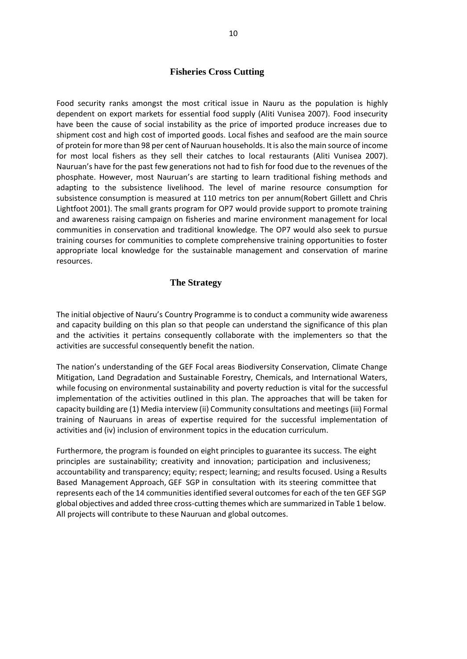#### **Fisheries Cross Cutting**

<span id="page-9-0"></span>Food security ranks amongst the most critical issue in Nauru as the population is highly dependent on export markets for essential food supply (Aliti Vunisea 2007). Food insecurity have been the cause of social instability as the price of imported produce increases due to shipment cost and high cost of imported goods. Local fishes and seafood are the main source of protein for more than 98 per cent of Nauruan households. Itis also the main source of income for most local fishers as they sell their catches to local restaurants (Aliti Vunisea 2007). Nauruan's have for the past few generations not had to fish for food due to the revenues of the phosphate. However, most Nauruan's are starting to learn traditional fishing methods and adapting to the subsistence livelihood. The level of marine resource consumption for subsistence consumption is measured at 110 metrics ton per annum(Robert Gillett and Chris Lightfoot 2001). The small grants program for OP7 would provide support to promote training and awareness raising campaign on fisheries and marine environment management for local communities in conservation and traditional knowledge. The OP7 would also seek to pursue training courses for communities to complete comprehensive training opportunities to foster appropriate local knowledge for the sustainable management and conservation of marine resources.

#### **The Strategy**

<span id="page-9-1"></span>The initial objective of Nauru's Country Programme is to conduct a community wide awareness and capacity building on this plan so that people can understand the significance of this plan and the activities it pertains consequently collaborate with the implementers so that the activities are successful consequently benefit the nation.

The nation's understanding of the GEF Focal areas Biodiversity Conservation, Climate Change Mitigation, Land Degradation and Sustainable Forestry, Chemicals, and International Waters, while focusing on environmental sustainability and poverty reduction is vital for the successful implementation of the activities outlined in this plan. The approaches that will be taken for capacity building are (1) Media interview (ii) Community consultations and meetings (iii) Formal training of Nauruans in areas of expertise required for the successful implementation of activities and (iv) inclusion of environment topics in the education curriculum.

Furthermore, the program is founded on eight principles to guarantee its success. The eight principles are sustainability; creativity and innovation; participation and inclusiveness; accountability and transparency; equity; respect; learning; and results focused. Using a Results Based Management Approach, GEF SGP in consultation with its steering committee that represents each of the 14 communities identified several outcomesfor each of the ten GEF SGP global objectives and added three cross-cutting themes which are summarized in Table 1 below. All projects will contribute to these Nauruan and global outcomes.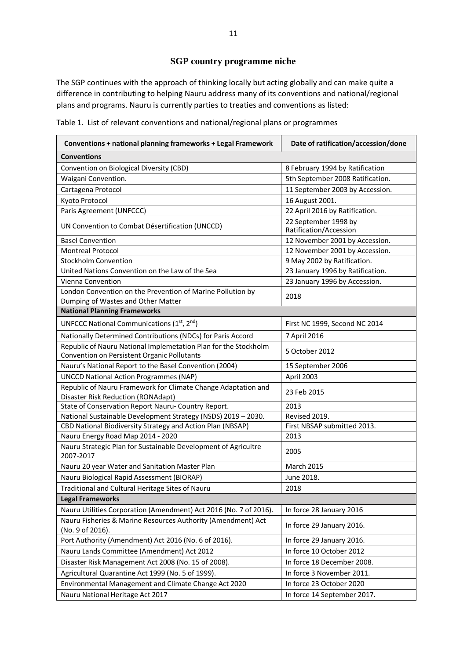## **SGP country programme niche**

<span id="page-10-0"></span>The SGP continues with the approach of thinking locally but acting globally and can make quite a difference in contributing to helping Nauru address many of its conventions and national/regional plans and programs. Nauru is currently parties to treaties and conventions as listed:

| Conventions + national planning frameworks + Legal Framework                                                   | Date of ratification/accession/done            |
|----------------------------------------------------------------------------------------------------------------|------------------------------------------------|
| <b>Conventions</b>                                                                                             |                                                |
| Convention on Biological Diversity (CBD)                                                                       | 8 February 1994 by Ratification                |
| Waigani Convention.                                                                                            | 5th September 2008 Ratification.               |
| Cartagena Protocol                                                                                             | 11 September 2003 by Accession.                |
| Kyoto Protocol                                                                                                 | 16 August 2001.                                |
| Paris Agreement (UNFCCC)                                                                                       | 22 April 2016 by Ratification.                 |
| UN Convention to Combat Désertification (UNCCD)                                                                | 22 September 1998 by<br>Ratification/Accession |
| <b>Basel Convention</b>                                                                                        | 12 November 2001 by Accession.                 |
| <b>Montreal Protocol</b>                                                                                       | 12 November 2001 by Accession.                 |
| <b>Stockholm Convention</b>                                                                                    | 9 May 2002 by Ratification.                    |
| United Nations Convention on the Law of the Sea                                                                | 23 January 1996 by Ratification.               |
| <b>Vienna Convention</b>                                                                                       | 23 January 1996 by Accession.                  |
| London Convention on the Prevention of Marine Pollution by<br>Dumping of Wastes and Other Matter               | 2018                                           |
| <b>National Planning Frameworks</b>                                                                            |                                                |
| UNFCCC National Communications (1st, 2nd)                                                                      | First NC 1999, Second NC 2014                  |
| Nationally Determined Contributions (NDCs) for Paris Accord                                                    | 7 April 2016                                   |
| Republic of Nauru National Implemetation Plan for the Stockholm<br>Convention on Persistent Organic Pollutants | 5 October 2012                                 |
| Nauru's National Report to the Basel Convention (2004)                                                         | 15 September 2006                              |
| <b>UNCCD National Action Programmes (NAP)</b>                                                                  | April 2003                                     |
| Republic of Nauru Framework for Climate Change Adaptation and<br>Disaster Risk Reduction (RONAdapt)            | 23 Feb 2015                                    |
| State of Conservation Report Nauru- Country Report.                                                            | 2013                                           |
| National Sustainable Development Strategy (NSDS) 2019 - 2030.                                                  | Revised 2019.                                  |
| CBD National Biodiversity Strategy and Action Plan (NBSAP)                                                     | First NBSAP submitted 2013.                    |
| Nauru Energy Road Map 2014 - 2020                                                                              | 2013                                           |

Table 1. List of relevant conventions and national/regional plans or programmes

| State of Conservation Report Nauru- Country Report.                              | 2013                        |
|----------------------------------------------------------------------------------|-----------------------------|
| National Sustainable Development Strategy (NSDS) 2019 - 2030.                    | Revised 2019.               |
| CBD National Biodiversity Strategy and Action Plan (NBSAP)                       | First NBSAP submitted 2013. |
| Nauru Energy Road Map 2014 - 2020                                                | 2013                        |
| Nauru Strategic Plan for Sustainable Development of Agricultre                   | 2005                        |
| 2007-2017                                                                        |                             |
| Nauru 20 year Water and Sanitation Master Plan                                   | <b>March 2015</b>           |
| Nauru Biological Rapid Assessment (BIORAP)                                       | June 2018.                  |
| Traditional and Cultural Heritage Sites of Nauru                                 | 2018                        |
| <b>Legal Frameworks</b>                                                          |                             |
| Nauru Utilities Corporation (Amendment) Act 2016 (No. 7 of 2016).                | In force 28 January 2016    |
| Nauru Fisheries & Marine Resources Authority (Amendment) Act<br>(No. 9 of 2016). | In force 29 January 2016.   |
| Port Authority (Amendment) Act 2016 (No. 6 of 2016).                             | In force 29 January 2016.   |
| Nauru Lands Committee (Amendment) Act 2012                                       | In force 10 October 2012    |
| Disaster Risk Management Act 2008 (No. 15 of 2008).                              | In force 18 December 2008.  |
| Agricultural Quarantine Act 1999 (No. 5 of 1999).                                | In force 3 November 2011.   |
| Environmental Management and Climate Change Act 2020                             | In force 23 October 2020    |
| Nauru National Heritage Act 2017                                                 | In force 14 September 2017. |
|                                                                                  |                             |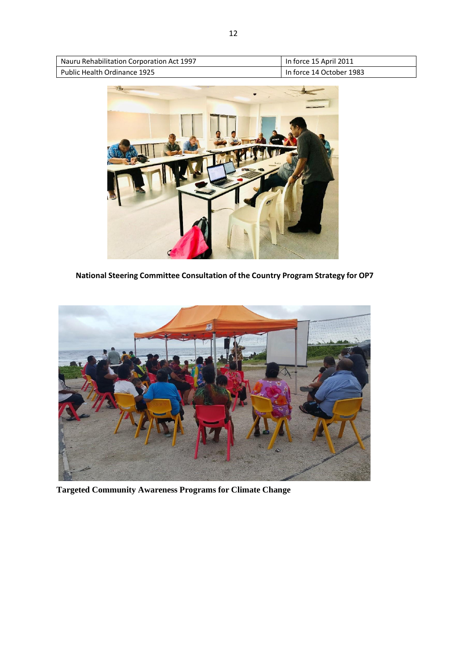| Nauru Rehabilitation Corporation Act 1997 | In force 15 April 2011   |
|-------------------------------------------|--------------------------|
| Public Health Ordinance 1925              | In force 14 October 1983 |



**National Steering Committee Consultation of the Country Program Strategy for OP7**

<span id="page-11-0"></span>

**Targeted Community Awareness Programs for Climate Change**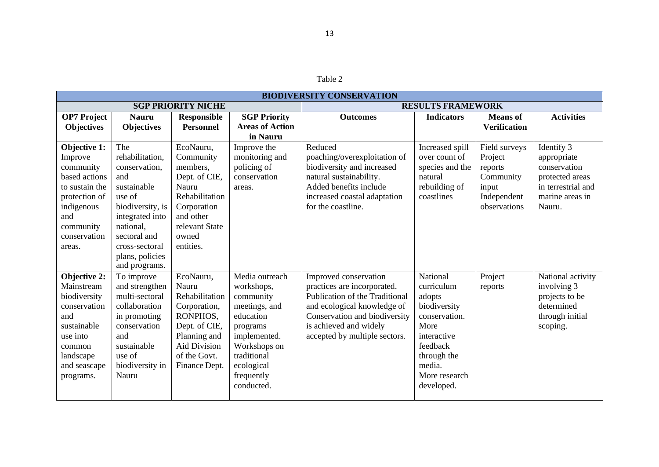| <b>BIODIVERSITY CONSERVATION</b>                                                                                                                            |                                                                                                                                                                                                   |                                                                                                                                                           |                                                                                                                                                                              |                                                                                                                                                                                                                   |                                                                                                                                                              |                                                                                          |                                                                                                                 |  |
|-------------------------------------------------------------------------------------------------------------------------------------------------------------|---------------------------------------------------------------------------------------------------------------------------------------------------------------------------------------------------|-----------------------------------------------------------------------------------------------------------------------------------------------------------|------------------------------------------------------------------------------------------------------------------------------------------------------------------------------|-------------------------------------------------------------------------------------------------------------------------------------------------------------------------------------------------------------------|--------------------------------------------------------------------------------------------------------------------------------------------------------------|------------------------------------------------------------------------------------------|-----------------------------------------------------------------------------------------------------------------|--|
| <b>SGP PRIORITY NICHE</b>                                                                                                                                   |                                                                                                                                                                                                   |                                                                                                                                                           |                                                                                                                                                                              |                                                                                                                                                                                                                   | <b>RESULTS FRAMEWORK</b>                                                                                                                                     |                                                                                          |                                                                                                                 |  |
| <b>OP7</b> Project<br><b>Objectives</b>                                                                                                                     | <b>Nauru</b><br><b>Objectives</b>                                                                                                                                                                 | <b>Responsible</b><br><b>Personnel</b>                                                                                                                    | <b>SGP Priority</b><br><b>Areas of Action</b><br>in Nauru                                                                                                                    | <b>Outcomes</b>                                                                                                                                                                                                   | <b>Indicators</b>                                                                                                                                            | <b>Means</b> of<br><b>Verification</b>                                                   | <b>Activities</b>                                                                                               |  |
| <b>Objective 1:</b><br>Improve<br>community<br>based actions<br>to sustain the<br>protection of<br>indigenous<br>and<br>community<br>conservation<br>areas. | The<br>rehabilitation,<br>conservation,<br>and<br>sustainable<br>use of<br>biodiversity, is<br>integrated into<br>national,<br>sectoral and<br>cross-sectoral<br>plans, policies<br>and programs. | EcoNauru,<br>Community<br>members,<br>Dept. of CIE,<br>Nauru<br>Rehabilitation<br>Corporation<br>and other<br>relevant State<br>owned<br>entities.        | Improve the<br>monitoring and<br>policing of<br>conservation<br>areas.                                                                                                       | Reduced<br>poaching/overexploitation of<br>biodiversity and increased<br>natural sustainability.<br>Added benefits include<br>increased coastal adaptation<br>for the coastline.                                  | Increased spill<br>over count of<br>species and the<br>natural<br>rebuilding of<br>coastlines                                                                | Field surveys<br>Project<br>reports<br>Community<br>input<br>Independent<br>observations | Identify 3<br>appropriate<br>conservation<br>protected areas<br>in terrestrial and<br>marine areas in<br>Nauru. |  |
| <b>Objective 2:</b><br>Mainstream<br>biodiversity<br>conservation<br>and<br>sustainable<br>use into<br>common<br>landscape<br>and seascape<br>programs.     | To improve<br>and strengthen<br>multi-sectoral<br>collaboration<br>in promoting<br>conservation<br>and<br>sustainable<br>use of<br>biodiversity in<br>Nauru                                       | EcoNauru,<br>Nauru<br>Rehabilitation<br>Corporation,<br>RONPHOS,<br>Dept. of CIE,<br>Planning and<br><b>Aid Division</b><br>of the Govt.<br>Finance Dept. | Media outreach<br>workshops,<br>community<br>meetings, and<br>education<br>programs<br>implemented.<br>Workshops on<br>traditional<br>ecological<br>frequently<br>conducted. | Improved conservation<br>practices are incorporated.<br>Publication of the Traditional<br>and ecological knowledge of<br>Conservation and biodiversity<br>is achieved and widely<br>accepted by multiple sectors. | National<br>curriculum<br>adopts<br>biodiversity<br>conservation.<br>More<br>interactive<br>feedback<br>through the<br>media.<br>More research<br>developed. | Project<br>reports                                                                       | National activity<br>involving 3<br>projects to be<br>determined<br>through initial<br>scoping.                 |  |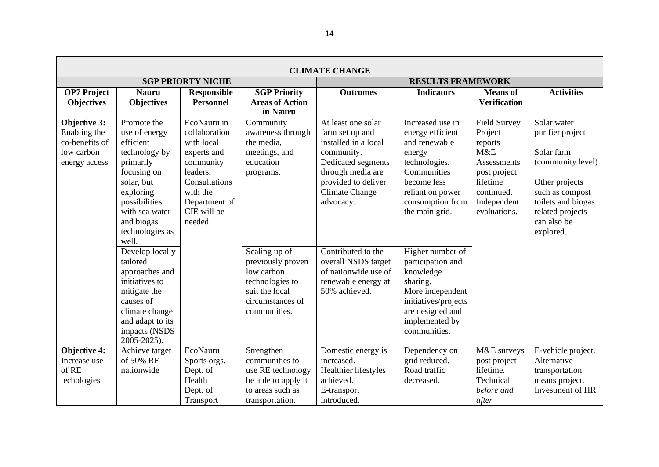| <b>CLIMATE CHANGE</b>                                                         |                                                                                                                                                                                                |                                                                                                                                                            |                                                                                                                           |                                                                                                                                                                                     |                                                                                                                                                                          |                                                                                                                                          |                                                                                                                                                                               |  |
|-------------------------------------------------------------------------------|------------------------------------------------------------------------------------------------------------------------------------------------------------------------------------------------|------------------------------------------------------------------------------------------------------------------------------------------------------------|---------------------------------------------------------------------------------------------------------------------------|-------------------------------------------------------------------------------------------------------------------------------------------------------------------------------------|--------------------------------------------------------------------------------------------------------------------------------------------------------------------------|------------------------------------------------------------------------------------------------------------------------------------------|-------------------------------------------------------------------------------------------------------------------------------------------------------------------------------|--|
|                                                                               |                                                                                                                                                                                                | <b>SGP PRIORTY NICHE</b>                                                                                                                                   |                                                                                                                           | <b>RESULTS FRAMEWORK</b>                                                                                                                                                            |                                                                                                                                                                          |                                                                                                                                          |                                                                                                                                                                               |  |
| <b>OP7</b> Project<br><b>Objectives</b>                                       | <b>Nauru</b><br><b>Objectives</b>                                                                                                                                                              | <b>Responsible</b><br><b>Personnel</b>                                                                                                                     | <b>SGP Priority</b><br><b>Areas of Action</b><br>in Nauru                                                                 | <b>Outcomes</b>                                                                                                                                                                     | <b>Indicators</b>                                                                                                                                                        | <b>Means</b> of<br><b>Verification</b>                                                                                                   | <b>Activities</b>                                                                                                                                                             |  |
| Objective 3:<br>Enabling the<br>co-benefits of<br>low carbon<br>energy access | Promote the<br>use of energy<br>efficient<br>technology by<br>primarily<br>focusing on<br>solar, but<br>exploring<br>possibilities<br>with sea water<br>and biogas<br>technologies as<br>well. | EcoNauru in<br>collaboration<br>with local<br>experts and<br>community<br>leaders.<br>Consultations<br>with the<br>Department of<br>CIE will be<br>needed. | Community<br>awareness through<br>the media,<br>meetings, and<br>education<br>programs.                                   | At least one solar<br>farm set up and<br>installed in a local<br>community.<br>Dedicated segments<br>through media are<br>provided to deliver<br><b>Climate Change</b><br>advocacy. | Increased use in<br>energy efficient<br>and renewable<br>energy<br>technologies.<br>Communities<br>become less<br>reliant on power<br>consumption from<br>the main grid. | <b>Field Survey</b><br>Project<br>reports<br>M&E<br>Assessments<br>post project<br>lifetime<br>continued.<br>Independent<br>evaluations. | Solar water<br>purifier project<br>Solar farm<br>(community level)<br>Other projects<br>such as compost<br>toilets and biogas<br>related projects<br>can also be<br>explored. |  |
|                                                                               | Develop locally<br>tailored<br>approaches and<br>initiatives to<br>mitigate the<br>causes of<br>climate change<br>and adapt to its<br>impacts (NSDS<br>2005-2025).                             |                                                                                                                                                            | Scaling up of<br>previously proven<br>low carbon<br>technologies to<br>suit the local<br>circumstances of<br>communities. | Contributed to the<br>overall NSDS target<br>of nationwide use of<br>renewable energy at<br>50% achieved.                                                                           | Higher number of<br>participation and<br>knowledge<br>sharing.<br>More independent<br>initiatives/projects<br>are designed and<br>implemented by<br>communities.         |                                                                                                                                          |                                                                                                                                                                               |  |
| Objective 4:<br>Increase use<br>of RE<br>techologies                          | Achieve target<br>of 50% RE<br>nationwide                                                                                                                                                      | EcoNauru<br>Sports orgs.<br>Dept. of<br>Health<br>Dept. of<br>Transport                                                                                    | Strengthen<br>communities to<br>use RE technology<br>be able to apply it<br>to areas such as<br>transportation.           | Domestic energy is<br>increased.<br>Healthier lifestyles<br>achieved.<br>E-transport<br>introduced.                                                                                 | Dependency on<br>grid reduced.<br>Road traffic<br>decreased.                                                                                                             | M&E surveys<br>post project<br>lifetime.<br>Technical<br>before and<br>after                                                             | E-vehicle project.<br>Alternative<br>transportation<br>means project.<br>Investment of HR                                                                                     |  |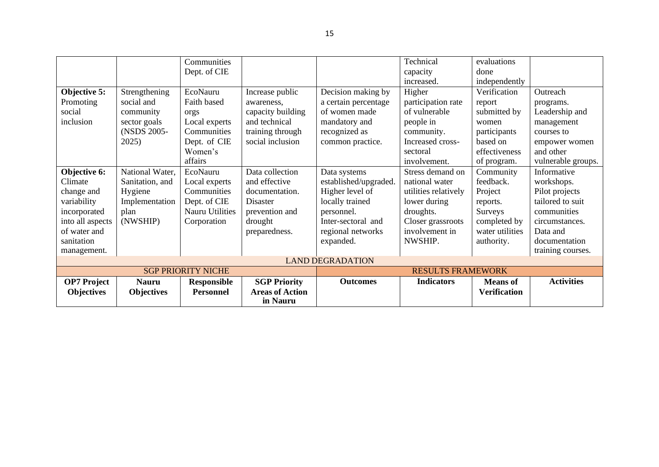|                           |                         | Communities        |                          |                       | Technical            | evaluations         |                    |  |  |
|---------------------------|-------------------------|--------------------|--------------------------|-----------------------|----------------------|---------------------|--------------------|--|--|
|                           |                         | Dept. of CIE       |                          |                       | capacity             | done                |                    |  |  |
|                           |                         |                    |                          |                       | increased.           | independently       |                    |  |  |
| Objective 5:              | Strengthening           | EcoNauru           | Increase public          | Decision making by    | Higher               | Verification        | Outreach           |  |  |
| Promoting                 | social and              | Faith based        | awareness.               | a certain percentage  | participation rate   | report              | programs.          |  |  |
| social                    | community               | orgs               | capacity building        | of women made         | of vulnerable        | submitted by        | Leadership and     |  |  |
| inclusion                 | sector goals            | Local experts      | and technical            | mandatory and         | people in            | women               | management         |  |  |
|                           | (NSDS 2005-             | Communities        | training through         | recognized as         | community.           | participants        | courses to         |  |  |
|                           | 2025)                   | Dept. of CIE       | social inclusion         | common practice.      | Increased cross-     | based on            | empower women      |  |  |
|                           |                         | Women's            |                          |                       | sectoral             | effectiveness       | and other          |  |  |
|                           |                         | affairs            |                          |                       | involvement.         | of program.         | vulnerable groups. |  |  |
| Objective 6:              | National Water,         | EcoNauru           | Data collection          | Data systems          | Stress demand on     | Community           | Informative        |  |  |
| Climate                   | Sanitation, and         | Local experts      | and effective            | established/upgraded. | national water       | feedback.           | workshops.         |  |  |
| change and                | Hygiene                 | Communities        | documentation.           | Higher level of       | utilities relatively | Project             | Pilot projects     |  |  |
| variability               | Implementation          | Dept. of CIE       | Disaster                 | locally trained       | lower during         | reports.            | tailored to suit   |  |  |
| incorporated              | plan                    | Nauru Utilities    | prevention and           | personnel.            | droughts.            | <b>Surveys</b>      | communities        |  |  |
| into all aspects          | (NWSHIP)                | Corporation        | drought                  | Inter-sectoral and    | Closer grassroots    | completed by        | circumstances.     |  |  |
| of water and              |                         |                    | preparedness.            | regional networks     | involvement in       | water utilities     | Data and           |  |  |
| sanitation                |                         |                    |                          | expanded.             | NWSHIP.              | authority.          | documentation      |  |  |
| management.               |                         |                    |                          |                       |                      |                     | training courses.  |  |  |
|                           | <b>LAND DEGRADATION</b> |                    |                          |                       |                      |                     |                    |  |  |
| <b>SGP PRIORITY NICHE</b> |                         |                    | <b>RESULTS FRAMEWORK</b> |                       |                      |                     |                    |  |  |
| <b>OP7</b> Project        | <b>Nauru</b>            | <b>Responsible</b> | <b>SGP Priority</b>      | <b>Outcomes</b>       | <b>Indicators</b>    | <b>Means</b> of     | <b>Activities</b>  |  |  |
| <b>Objectives</b>         | <b>Objectives</b>       | <b>Personnel</b>   | <b>Areas of Action</b>   |                       |                      | <b>Verification</b> |                    |  |  |
|                           |                         |                    | in Nauru                 |                       |                      |                     |                    |  |  |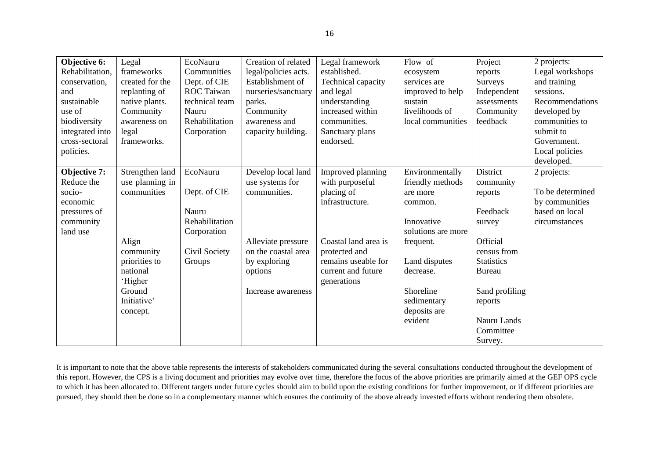| Objective 6:    | Legal           | EcoNauru          | Creation of related  | Legal framework      | Flow of            | Project           | 2 projects:      |
|-----------------|-----------------|-------------------|----------------------|----------------------|--------------------|-------------------|------------------|
| Rehabilitation, | frameworks      | Communities       | legal/policies acts. | established.         | ecosystem          | reports           | Legal workshops  |
| conservation,   | created for the | Dept. of CIE      | Establishment of     | Technical capacity   | services are       | Surveys           | and training     |
| and             | replanting of   | <b>ROC</b> Taiwan | nurseries/sanctuary  | and legal            | improved to help   | Independent       | sessions.        |
| sustainable     | native plants.  | technical team    | parks.               | understanding        | sustain            | assessments       | Recommendations  |
| use of          | Community       | Nauru             | Community            | increased within     | livelihoods of     | Community         | developed by     |
| biodiversity    | awareness on    | Rehabilitation    | awareness and        | communities.         | local communities  | feedback          | communities to   |
| integrated into | legal           | Corporation       | capacity building.   | Sanctuary plans      |                    |                   | submit to        |
| cross-sectoral  | frameworks.     |                   |                      | endorsed.            |                    |                   | Government.      |
| policies.       |                 |                   |                      |                      |                    |                   | Local policies   |
|                 |                 |                   |                      |                      |                    |                   | developed.       |
| Objective 7:    | Strengthen land | EcoNauru          | Develop local land   | Improved planning    | Environmentally    | District          | 2 projects:      |
| Reduce the      | use planning in |                   | use systems for      | with purposeful      | friendly methods   | community         |                  |
| socio-          | communities     | Dept. of CIE      | communities.         | placing of           | are more           | reports           | To be determined |
| economic        |                 |                   |                      | infrastructure.      | common.            |                   | by communities   |
| pressures of    |                 | Nauru             |                      |                      |                    | Feedback          | based on local   |
| community       |                 | Rehabilitation    |                      |                      | Innovative         | survey            | circumstances    |
| land use        |                 | Corporation       |                      |                      | solutions are more |                   |                  |
|                 | Align           |                   | Alleviate pressure   | Coastal land area is | frequent.          | Official          |                  |
|                 | community       | Civil Society     | on the coastal area  | protected and        |                    | census from       |                  |
|                 | priorities to   | Groups            | by exploring         | remains useable for  | Land disputes      | <b>Statistics</b> |                  |
|                 | national        |                   | options              | current and future   | decrease.          | <b>Bureau</b>     |                  |
|                 | 'Higher         |                   |                      | generations          |                    |                   |                  |
|                 | Ground          |                   | Increase awareness   |                      | Shoreline          | Sand profiling    |                  |
|                 | Initiative'     |                   |                      |                      | sedimentary        | reports           |                  |
|                 | concept.        |                   |                      |                      | deposits are       |                   |                  |
|                 |                 |                   |                      |                      | evident            | Nauru Lands       |                  |
|                 |                 |                   |                      |                      |                    | Committee         |                  |
|                 |                 |                   |                      |                      |                    | Survey.           |                  |

It is important to note that the above table represents the interests of stakeholders communicated during the several consultations conducted throughout the development of this report. However, the CPS is a living document and priorities may evolve over time, therefore the focus of the above priorities are primarily aimed at the GEF OPS cycle to which it has been allocated to. Different targets under future cycles should aim to build upon the existing conditions for further improvement, or if different priorities are pursued, they should then be done so in a complementary manner which ensures the continuity of the above already invested efforts without rendering them obsolete.